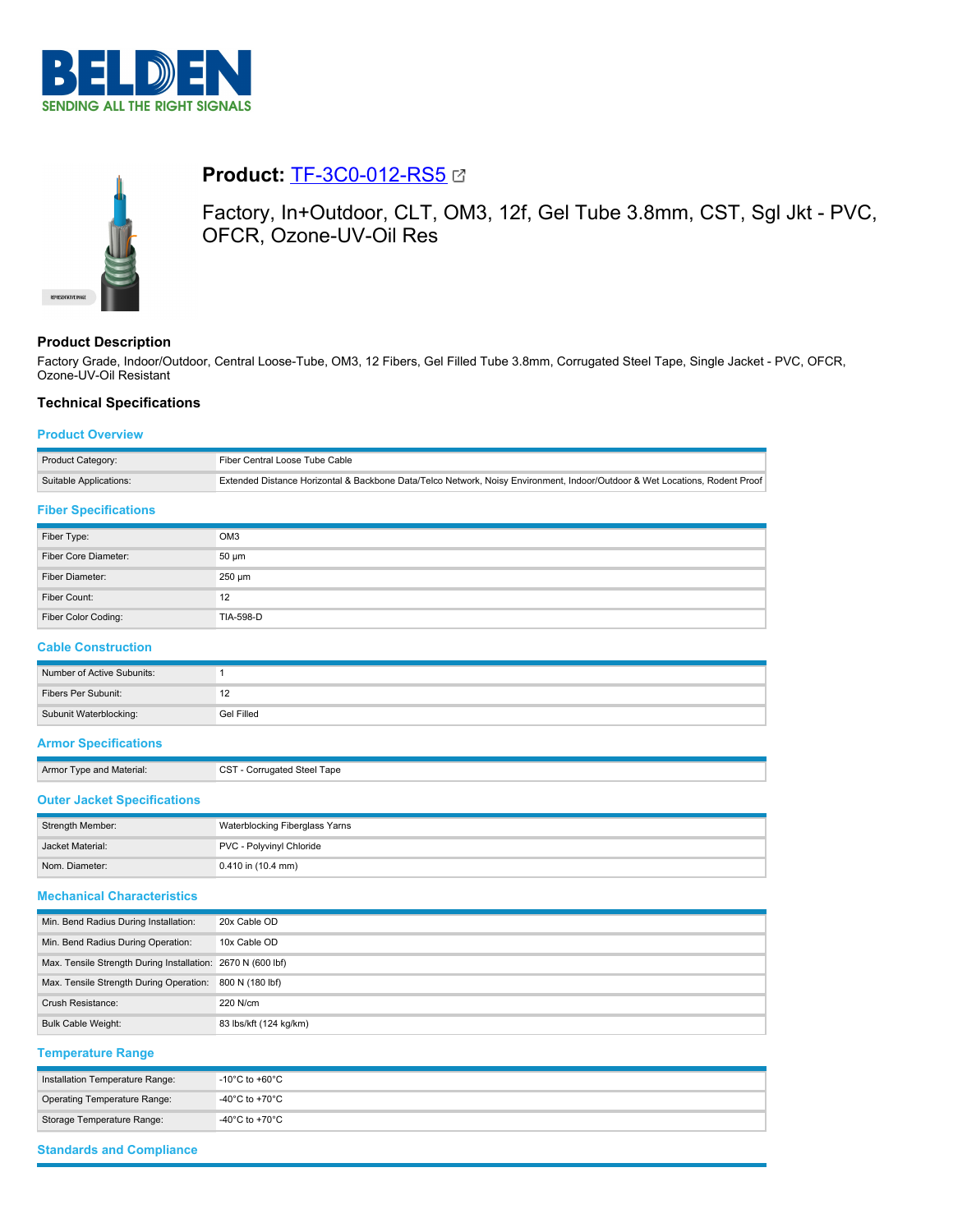



# **Product: [TF-3C0-012-RS5](https://catalog.belden.com/index.cfm?event=pd&p=PF_TF3C0012RS5&tab=downloads) &**

Factory, In+Outdoor, CLT, OM3, 12f, Gel Tube 3.8mm, CST, Sgl Jkt - PVC, OFCR, Ozone-UV-Oil Res

## **Product Description**

Factory Grade, Indoor/Outdoor, Central Loose-Tube, OM3, 12 Fibers, Gel Filled Tube 3.8mm, Corrugated Steel Tape, Single Jacket - PVC, OFCR, Ozone-UV-Oil Resistant

# **Technical Specifications**

### **Product Overview**

| Product Category:      | Fiber Central Loose Tube Cable                                                                                              |
|------------------------|-----------------------------------------------------------------------------------------------------------------------------|
| Suitable Applications: | Extended Distance Horizontal & Backbone Data/Telco Network, Noisy Environment, Indoor/Outdoor & Wet Locations, Rodent Proof |
| _____                  |                                                                                                                             |

## **Fiber Specifications**

| Fiber Type:          | OM <sub>3</sub>  |
|----------------------|------------------|
| Fiber Core Diameter: | $50 \mu m$       |
| Fiber Diameter:      | $250 \mu m$      |
| Fiber Count:         | 12               |
| Fiber Color Coding:  | <b>TIA-598-D</b> |

#### **Cable Construction**

| Number of Active Subunits: |            |
|----------------------------|------------|
| Fibers Per Subunit:        |            |
| Subunit Waterblocking:     | Gel Filled |

CST - Corrugated Steel Tape

## **Armor Specifications**

| Armor Type and Material: |  |  |  |
|--------------------------|--|--|--|
|--------------------------|--|--|--|

# **Outer Jacket Specifications**

| Strength Member: | Waterblocking Fiberglass Yarns |
|------------------|--------------------------------|
| Jacket Material: | PVC - Polyvinyl Chloride       |
| Nom. Diameter:   | $0.410$ in (10.4 mm)           |

### **Mechanical Characteristics**

| Min. Bend Radius During Installation:                       | 20x Cable OD           |
|-------------------------------------------------------------|------------------------|
| Min. Bend Radius During Operation:                          | 10x Cable OD           |
| Max. Tensile Strength During Installation: 2670 N (600 lbf) |                        |
| Max. Tensile Strength During Operation:                     | 800 N (180 lbf)        |
| Crush Resistance:                                           | 220 N/cm               |
| <b>Bulk Cable Weight:</b>                                   | 83 lbs/kft (124 kg/km) |

#### **Temperature Range**

| Installation Temperature Range: | $-10^{\circ}$ C to +60 $^{\circ}$ C |
|---------------------------------|-------------------------------------|
| Operating Temperature Range:    | -40°C to +70°C                      |
| Storage Temperature Range:      | $-40^{\circ}$ C to $+70^{\circ}$ C  |

#### **Standards and Compliance**